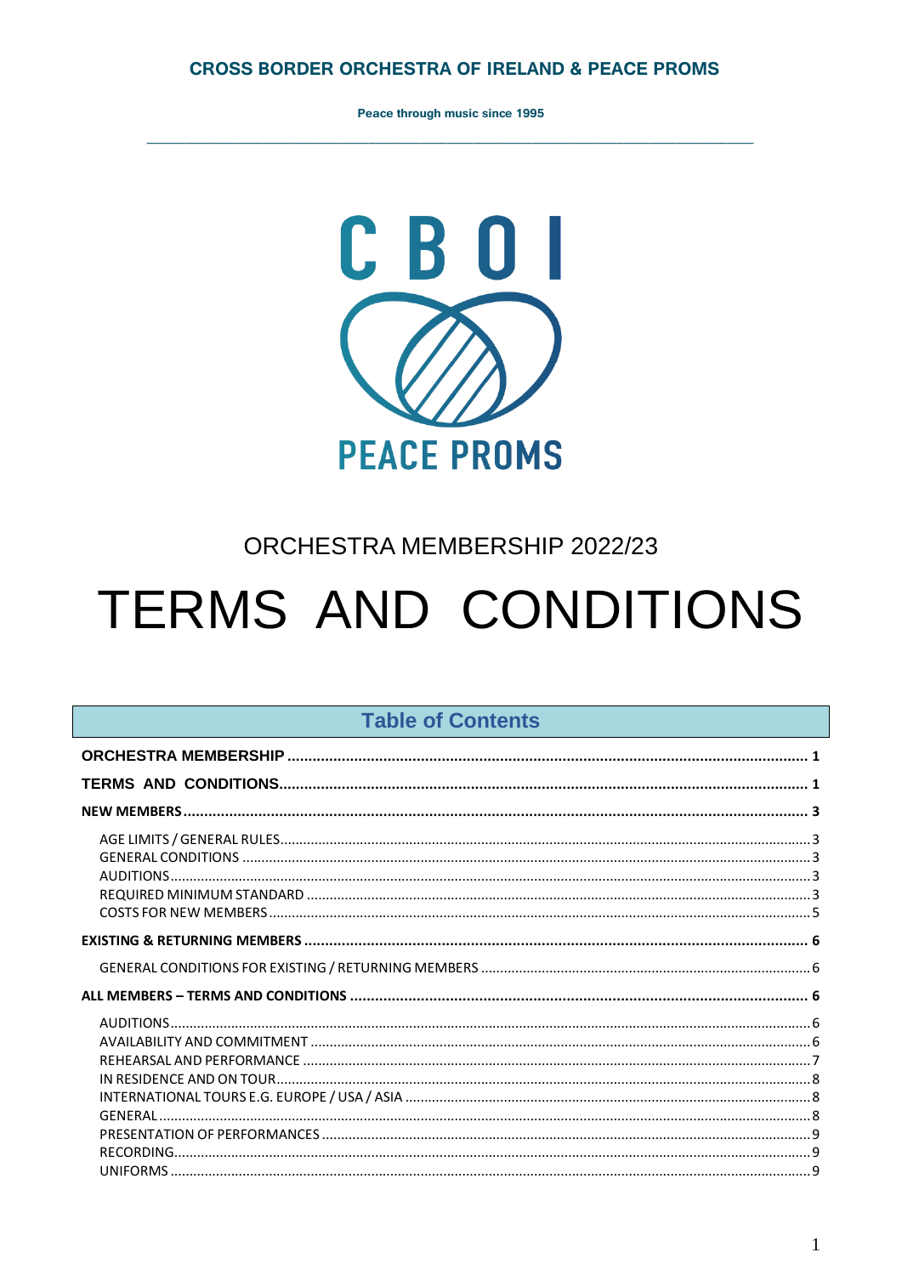Peace through music since 1995



ORCHESTRA MEMBERSHIP 2022/23

# <span id="page-0-1"></span><span id="page-0-0"></span>**TERMS AND CONDITIONS**

| <b>Table of Contents</b> |  |  |
|--------------------------|--|--|
|                          |  |  |
|                          |  |  |
|                          |  |  |
|                          |  |  |
|                          |  |  |
|                          |  |  |
|                          |  |  |
|                          |  |  |
|                          |  |  |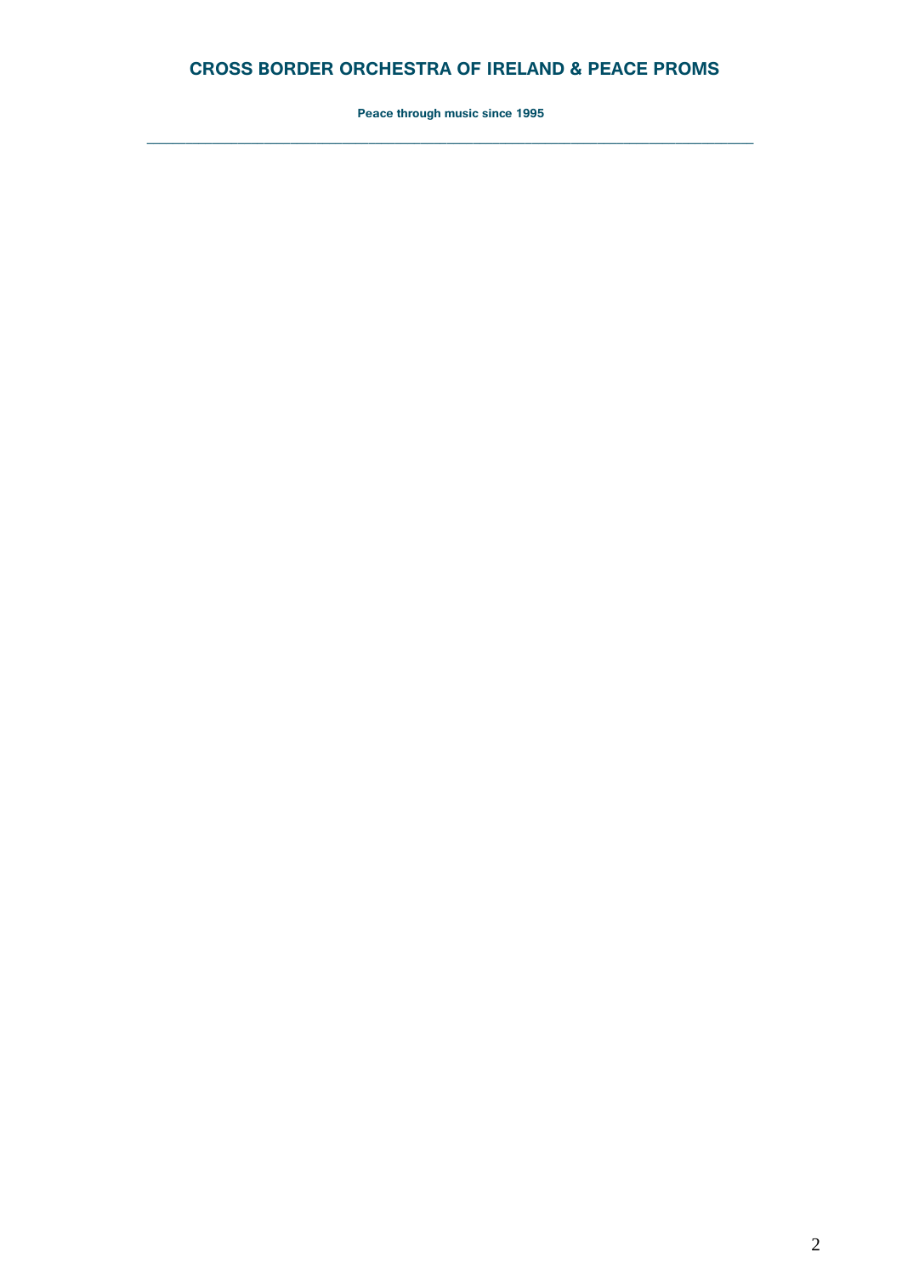**Peace through music since 1995 \_\_\_\_\_\_\_\_\_\_\_\_\_\_\_\_\_\_\_\_\_\_\_\_\_\_\_\_\_\_\_\_\_\_\_\_\_\_\_\_\_\_\_\_\_\_\_\_\_\_\_\_\_\_\_\_\_\_\_\_\_\_\_\_\_\_\_\_\_\_\_\_\_\_\_\_\_\_\_\_\_\_\_\_\_\_\_\_\_\_\_\_\_**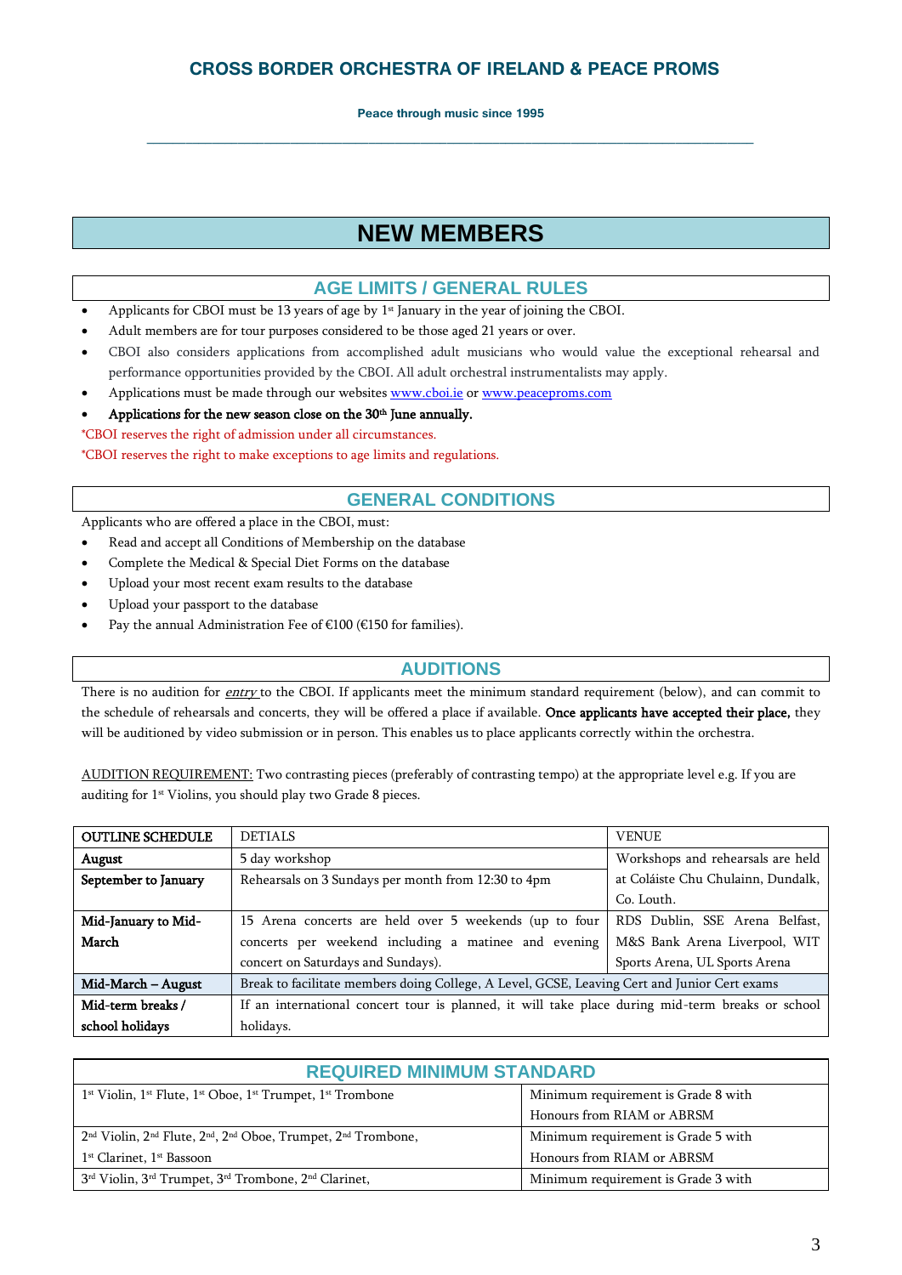**Peace through music since 1995 \_\_\_\_\_\_\_\_\_\_\_\_\_\_\_\_\_\_\_\_\_\_\_\_\_\_\_\_\_\_\_\_\_\_\_\_\_\_\_\_\_\_\_\_\_\_\_\_\_\_\_\_\_\_\_\_\_\_\_\_\_\_\_\_\_\_\_\_\_\_\_\_\_\_\_\_\_\_\_\_\_\_\_\_\_\_\_\_\_\_\_\_\_**

## **NEW MEMBERS**

#### **AGE LIMITS / GENERAL RULES**

- <span id="page-2-1"></span><span id="page-2-0"></span>• Applicants for CBOI must be 13 years of age by 1st January in the year of joining the CBOI.
- Adult members are for tour purposes considered to be those aged 21 years or over.
- CBOI also considers applications from accomplished adult musicians who would value the exceptional rehearsal and performance opportunities provided by the CBOI. All adult orchestral instrumentalists may apply.
- Applications must be made through our website[s www.cboi.ie](http://www.cboi.ie/) o[r www.peaceproms.com](http://www.peaceproms.com/)
- Applications for the new season close on the 30<sup>th</sup> June annually.

\*CBOI reserves the right of admission under all circumstances.

\*CBOI reserves the right to make exceptions to age limits and regulations.

#### **GENERAL CONDITIONS**

<span id="page-2-2"></span>Applicants who are offered a place in the CBOI, must:

- Read and accept all Conditions of Membership on the database
- Complete the Medical & Special Diet Forms on the database
- Upload your most recent exam results to the database
- Upload your passport to the database
- Pay the annual Administration Fee of  $€100$  ( $€150$  for families).

#### **AUDITIONS**

<span id="page-2-3"></span>There is no audition for *entry* to the CBOI. If applicants meet the minimum standard requirement (below), and can commit to the schedule of rehearsals and concerts, they will be offered a place if available. Once applicants have accepted their place, they will be auditioned by video submission or in person. This enables us to place applicants correctly within the orchestra.

AUDITION REQUIREMENT: Two contrasting pieces (preferably of contrasting tempo) at the appropriate level e.g. If you are auditing for 1<sup>st</sup> Violins, you should play two Grade 8 pieces.

| <b>OUTLINE SCHEDULE</b> | <b>DETIALS</b>                                                                                   | <b>VENUE</b>                       |
|-------------------------|--------------------------------------------------------------------------------------------------|------------------------------------|
| August                  | 5 day workshop                                                                                   | Workshops and rehearsals are held  |
| September to January    | Rehearsals on 3 Sundays per month from 12:30 to 4pm                                              | at Coláiste Chu Chulainn, Dundalk, |
|                         |                                                                                                  | Co. Louth.                         |
| Mid-January to Mid-     | 15 Arena concerts are held over 5 weekends (up to four                                           | RDS Dublin, SSE Arena Belfast,     |
| March                   | concerts per weekend including a matinee and evening                                             | M&S Bank Arena Liverpool, WIT      |
|                         | concert on Saturdays and Sundays).                                                               | Sports Arena, UL Sports Arena      |
| Mid-March - August      | Break to facilitate members doing College, A Level, GCSE, Leaving Cert and Junior Cert exams     |                                    |
| Mid-term breaks /       | If an international concert tour is planned, it will take place during mid-term breaks or school |                                    |
| school holidays         | holidays.                                                                                        |                                    |

<span id="page-2-4"></span>

| <b>REQUIRED MINIMUM STANDARD</b>                                                                                          |                                     |  |
|---------------------------------------------------------------------------------------------------------------------------|-------------------------------------|--|
| 1 <sup>st</sup> Violin, 1 <sup>st</sup> Flute, 1 <sup>st</sup> Oboe, 1 <sup>st</sup> Trumpet, 1 <sup>st</sup> Trombone    | Minimum requirement is Grade 8 with |  |
|                                                                                                                           | Honours from RIAM or ABRSM          |  |
| 2 <sup>nd</sup> Violin, 2 <sup>nd</sup> Flute, 2 <sup>nd</sup> , 2 <sup>nd</sup> Oboe, Trumpet, 2 <sup>nd</sup> Trombone, | Minimum requirement is Grade 5 with |  |
| 1 <sup>st</sup> Clarinet, 1 <sup>st</sup> Bassoon                                                                         | Honours from RIAM or ABRSM          |  |
| 3 <sup>rd</sup> Violin, 3 <sup>rd</sup> Trumpet, 3 <sup>rd</sup> Trombone, 2 <sup>nd</sup> Clarinet,                      | Minimum requirement is Grade 3 with |  |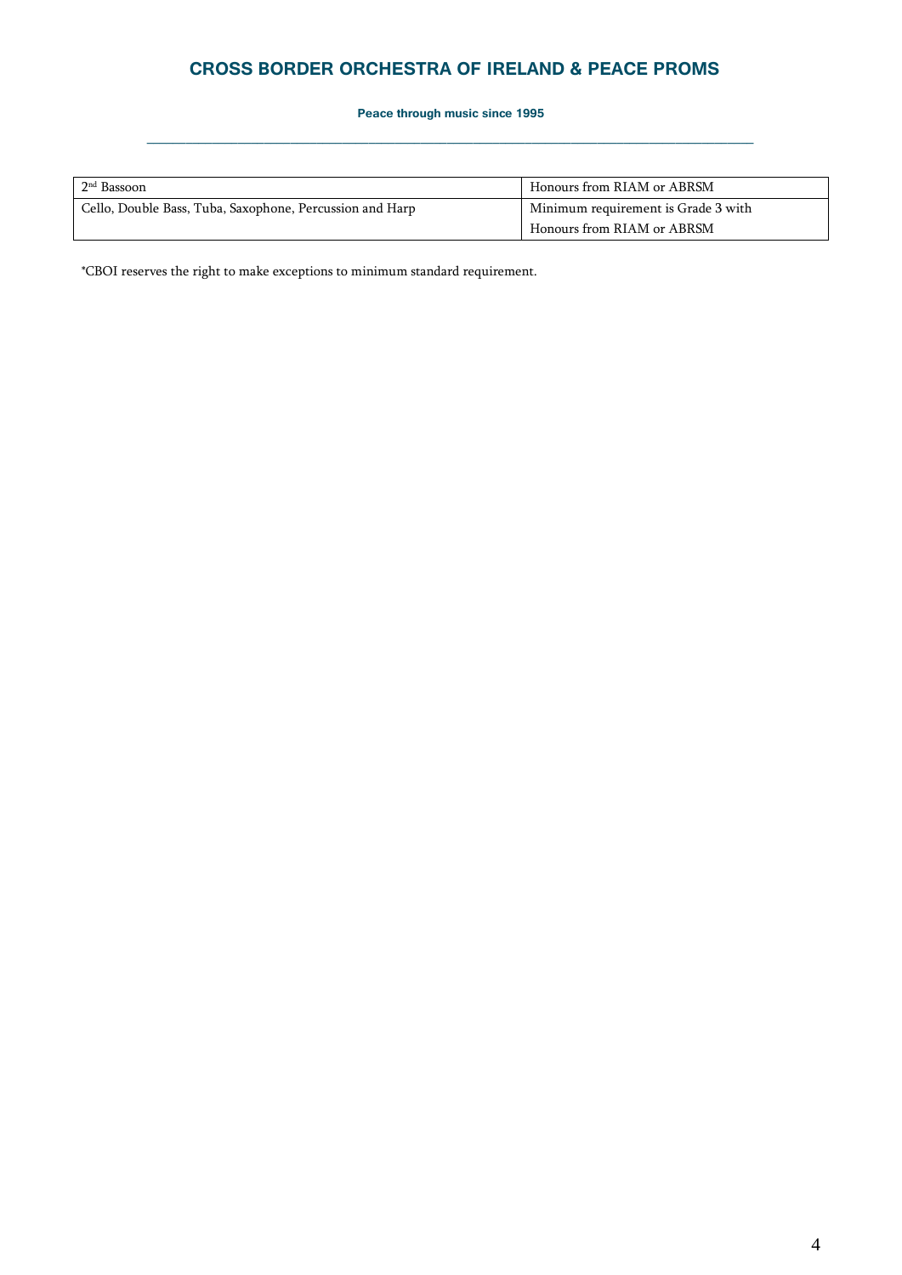## **Peace through music since 1995 \_\_\_\_\_\_\_\_\_\_\_\_\_\_\_\_\_\_\_\_\_\_\_\_\_\_\_\_\_\_\_\_\_\_\_\_\_\_\_\_\_\_\_\_\_\_\_\_\_\_\_\_\_\_\_\_\_\_\_\_\_\_\_\_\_\_\_\_\_\_\_\_\_\_\_\_\_\_\_\_\_\_\_\_\_\_\_\_\_\_\_\_\_**

| 2 <sup>nd</sup> Bassoon                                  | Honours from RIAM or ABRSM          |
|----------------------------------------------------------|-------------------------------------|
| Cello, Double Bass, Tuba, Saxophone, Percussion and Harp | Minimum requirement is Grade 3 with |
|                                                          | Honours from RIAM or ABRSM          |

\*CBOI reserves the right to make exceptions to minimum standard requirement.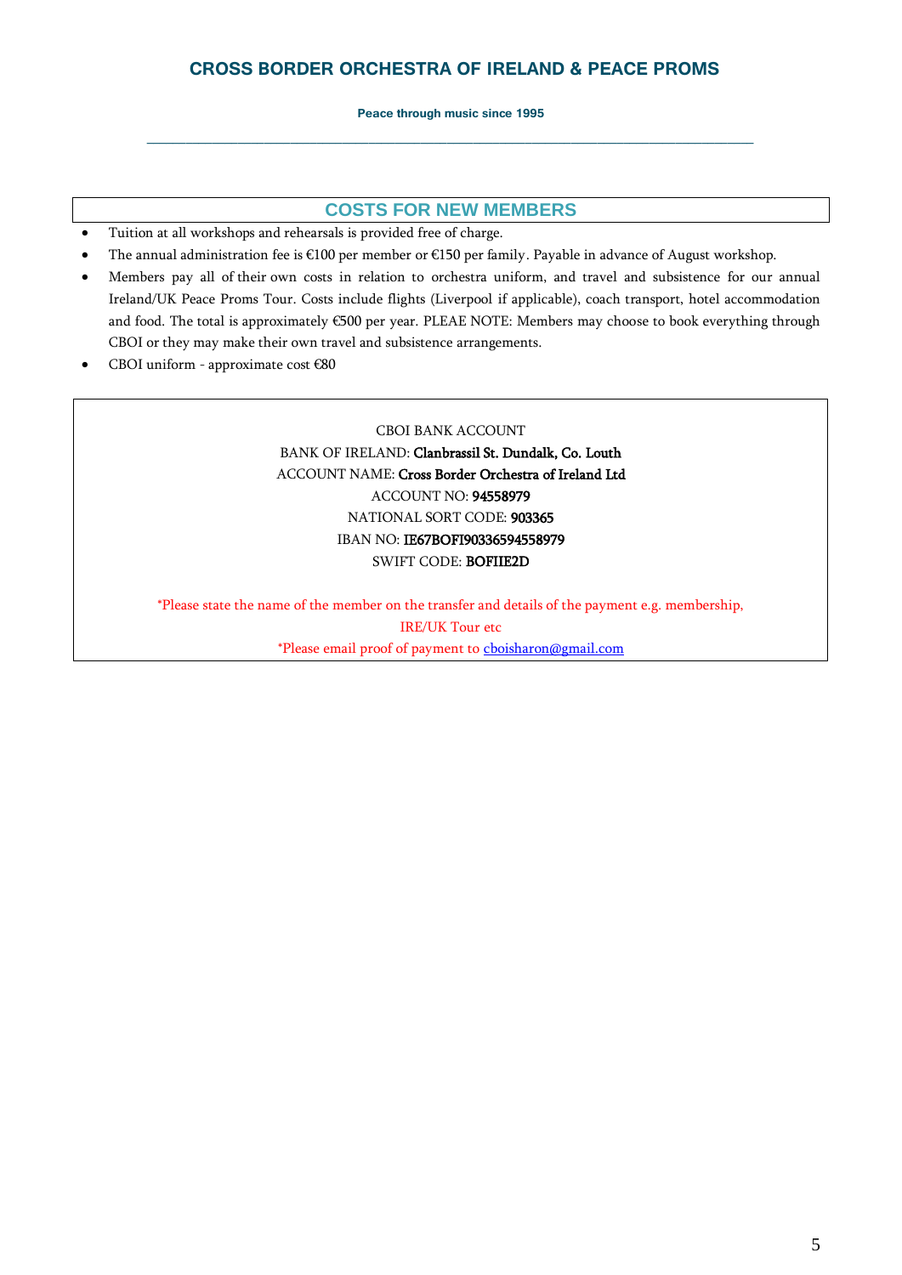## **Peace through music since 1995 \_\_\_\_\_\_\_\_\_\_\_\_\_\_\_\_\_\_\_\_\_\_\_\_\_\_\_\_\_\_\_\_\_\_\_\_\_\_\_\_\_\_\_\_\_\_\_\_\_\_\_\_\_\_\_\_\_\_\_\_\_\_\_\_\_\_\_\_\_\_\_\_\_\_\_\_\_\_\_\_\_\_\_\_\_\_\_\_\_\_\_\_\_**

## **COSTS FOR NEW MEMBERS**

- <span id="page-4-0"></span>• Tuition at all workshops and rehearsals is provided free of charge.
- The annual administration fee is €100 per member or €150 per family. Payable in advance of August workshop.
- Members pay all of their own costs in relation to orchestra uniform, and travel and subsistence for our annual Ireland/UK Peace Proms Tour. Costs include flights (Liverpool if applicable), coach transport, hotel accommodation and food. The total is approximately €500 per year. PLEAE NOTE: Members may choose to book everything through CBOI or they may make their own travel and subsistence arrangements.
- CBOI uniform approximate cost €80

## CBOI BANK ACCOUNT

BANK OF IRELAND: Clanbrassil St. Dundalk, Co. Louth ACCOUNT NAME: Cross Border Orchestra of Ireland Ltd ACCOUNT NO: 94558979 NATIONAL SORT CODE: 903365 IBAN NO: IE67BOFI90336594558979 SWIFT CODE: BOFIIE2D

\*Please state the name of the member on the transfer and details of the payment e.g. membership, IRE/UK Tour etc \*Please email proof of payment to [cboisharon@gmail.com](mailto:sorcha@cboi.ie)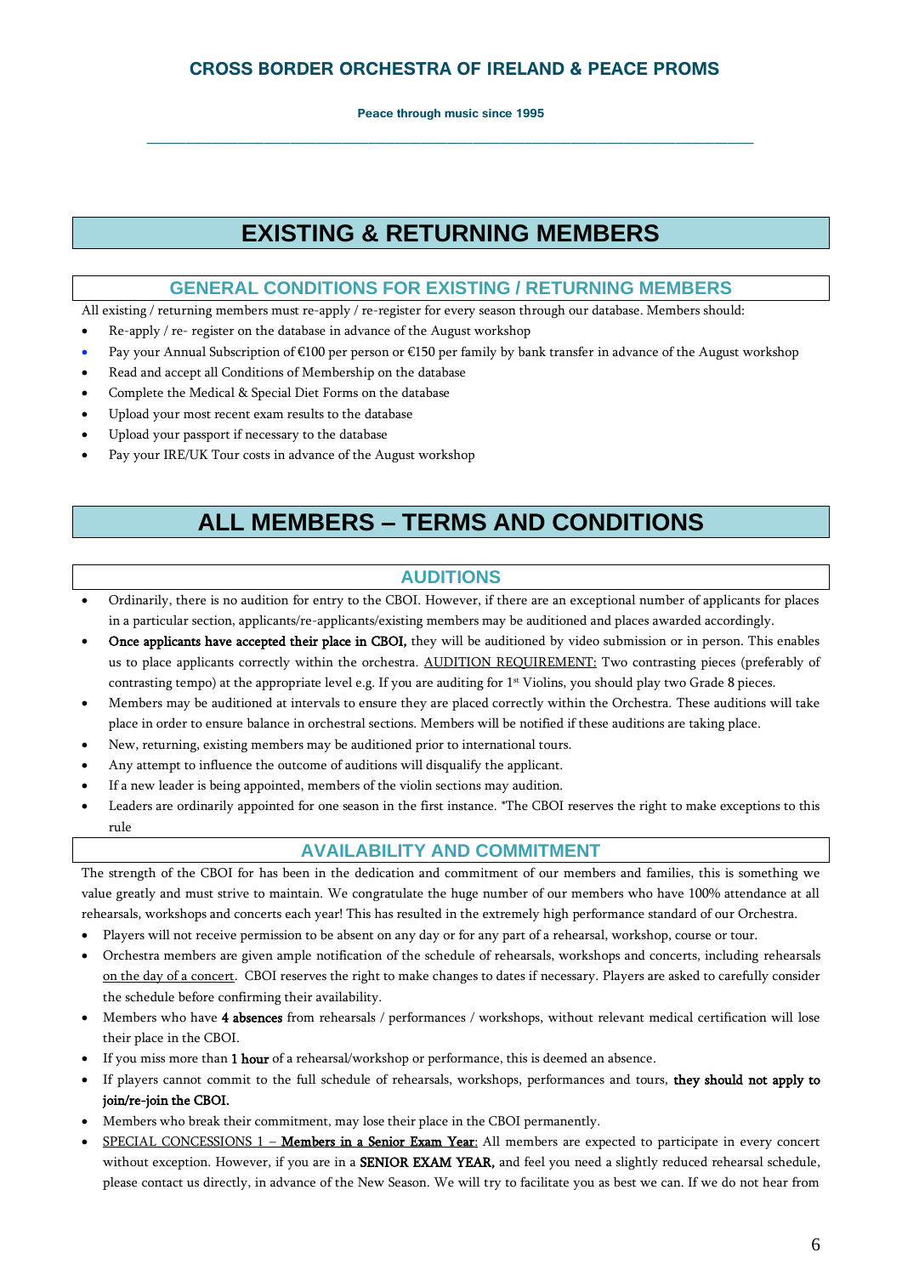**Peace through music since 1995 \_\_\_\_\_\_\_\_\_\_\_\_\_\_\_\_\_\_\_\_\_\_\_\_\_\_\_\_\_\_\_\_\_\_\_\_\_\_\_\_\_\_\_\_\_\_\_\_\_\_\_\_\_\_\_\_\_\_\_\_\_\_\_\_\_\_\_\_\_\_\_\_\_\_\_\_\_\_\_\_\_\_\_\_\_\_\_\_\_\_\_\_\_**

# **EXISTING & RETURNING MEMBERS**

#### **GENERAL CONDITIONS FOR EXISTING / RETURNING MEMBERS**

<span id="page-5-1"></span><span id="page-5-0"></span>All existing / returning members must re-apply / re-register for every season through our database. Members should:

- Re-apply / re- register on the database in advance of the August workshop
- Pay your Annual Subscription of €100 per person or €150 per family by bank transfer in advance of the August workshop
- Read and accept all Conditions of Membership on the database
- Complete the Medical & Special Diet Forms on the database
- Upload your most recent exam results to the database
- Upload your passport if necessary to the database
- <span id="page-5-2"></span>Pay your IRE/UK Tour costs in advance of the August workshop

# **ALL MEMBERS – TERMS AND CONDITIONS**

#### **AUDITIONS**

- <span id="page-5-3"></span>• Ordinarily, there is no audition for entry to the CBOI. However, if there are an exceptional number of applicants for places in a particular section, applicants/re-applicants/existing members may be auditioned and places awarded accordingly.
- Once applicants have accepted their place in CBOI, they will be auditioned by video submission or in person. This enables us to place applicants correctly within the orchestra. AUDITION REQUIREMENT: Two contrasting pieces (preferably of contrasting tempo) at the appropriate level e.g. If you are auditing for 1<sup>st</sup> Violins, you should play two Grade 8 pieces.
- Members may be auditioned at intervals to ensure they are placed correctly within the Orchestra. These auditions will take place in order to ensure balance in orchestral sections. Members will be notified if these auditions are taking place.
- New, returning, existing members may be auditioned prior to international tours.
- Any attempt to influence the outcome of auditions will disqualify the applicant.
- If a new leader is being appointed, members of the violin sections may audition.
- Leaders are ordinarily appointed for one season in the first instance. \*The CBOI reserves the right to make exceptions to this rule

#### **AVAILABILITY AND COMMITMENT**

<span id="page-5-4"></span>The strength of the CBOI for has been in the dedication and commitment of our members and families, this is something we value greatly and must strive to maintain. We congratulate the huge number of our members who have 100% attendance at all rehearsals, workshops and concerts each year! This has resulted in the extremely high performance standard of our Orchestra.

- Players will not receive permission to be absent on any day or for any part of a rehearsal, workshop, course or tour.
- Orchestra members are given ample notification of the schedule of rehearsals, workshops and concerts, including rehearsals on the day of a concert. CBOI reserves the right to make changes to dates if necessary. Players are asked to carefully consider the schedule before confirming their availability.
- Members who have 4 absences from rehearsals / performances / workshops, without relevant medical certification will lose their place in the CBOI.
- If you miss more than 1 hour of a rehearsal/workshop or performance, this is deemed an absence.
- If players cannot commit to the full schedule of rehearsals, workshops, performances and tours, they should not apply to join/re-join the CBOI.
- Members who break their commitment, may lose their place in the CBOI permanently.
- SPECIAL CONCESSIONS 1 Members in a Senior Exam Year: All members are expected to participate in every concert without exception. However, if you are in a **SENIOR EXAM YEAR**, and feel you need a slightly reduced rehearsal schedule, please contact us directly, in advance of the New Season. We will try to facilitate you as best we can. If we do not hear from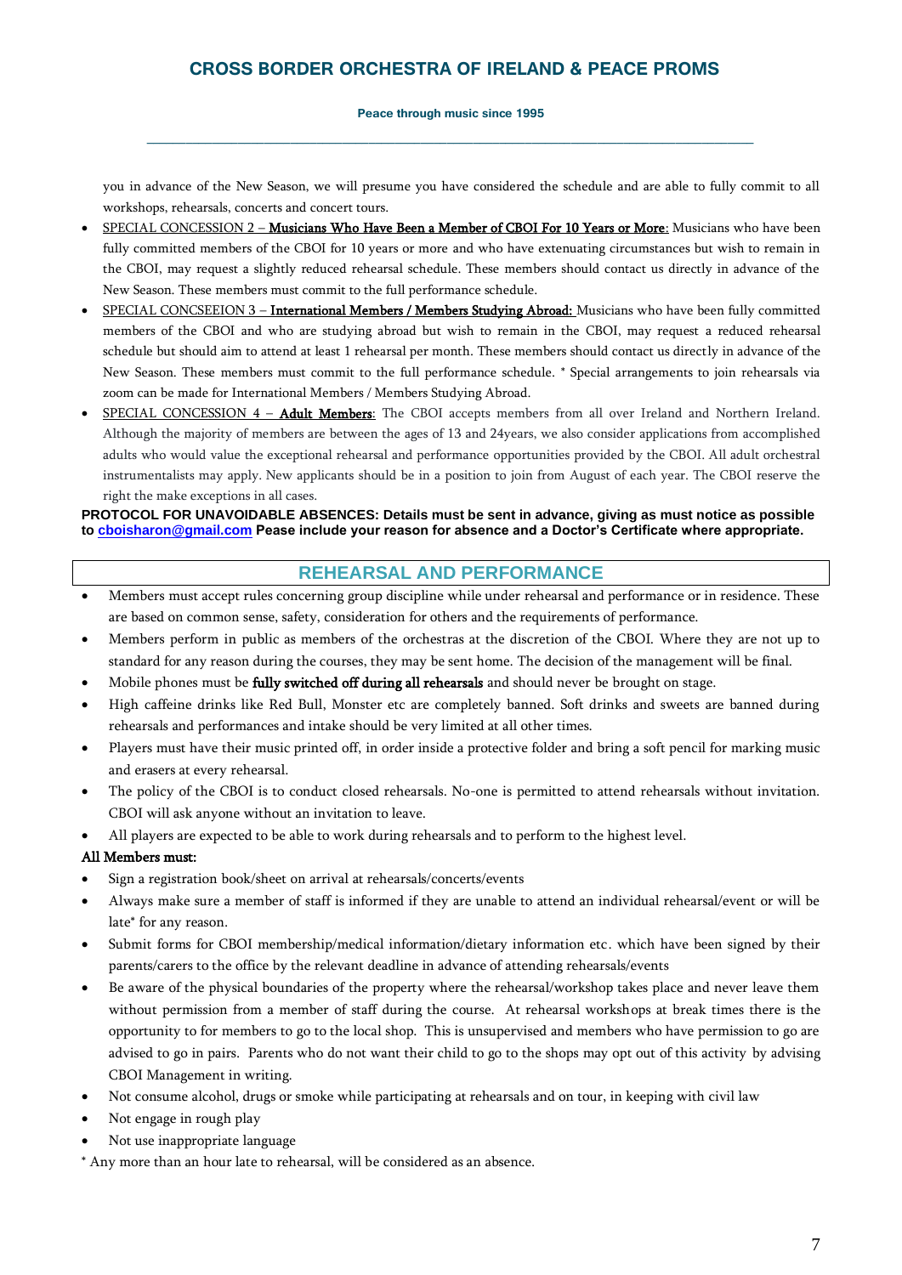## **Peace through music since 1995 \_\_\_\_\_\_\_\_\_\_\_\_\_\_\_\_\_\_\_\_\_\_\_\_\_\_\_\_\_\_\_\_\_\_\_\_\_\_\_\_\_\_\_\_\_\_\_\_\_\_\_\_\_\_\_\_\_\_\_\_\_\_\_\_\_\_\_\_\_\_\_\_\_\_\_\_\_\_\_\_\_\_\_\_\_\_\_\_\_\_\_\_\_**

you in advance of the New Season, we will presume you have considered the schedule and are able to fully commit to all workshops, rehearsals, concerts and concert tours.

- SPECIAL CONCESSION 2 Musicians Who Have Been a Member of CBOI For 10 Years or More: Musicians who have been fully committed members of the CBOI for 10 years or more and who have extenuating circumstances but wish to remain in the CBOI, may request a slightly reduced rehearsal schedule. These members should contact us directly in advance of the New Season. These members must commit to the full performance schedule.
- SPECIAL CONCSEEION 3 International Members / Members Studying Abroad: Musicians who have been fully committed members of the CBOI and who are studying abroad but wish to remain in the CBOI, may request a reduced rehearsal schedule but should aim to attend at least 1 rehearsal per month. These members should contact us directly in advance of the New Season. These members must commit to the full performance schedule. \* Special arrangements to join rehearsals via zoom can be made for International Members / Members Studying Abroad.
- SPECIAL CONCESSION 4 Adult Members: The CBOI accepts members from all over Ireland and Northern Ireland. Although the majority of members are between the ages of 13 and 24years, we also consider applications from accomplished adults who would value the exceptional rehearsal and performance opportunities provided by the CBOI. All adult orchestral instrumentalists may apply. New applicants should be in a position to join from August of each year. The CBOI reserve the right the make exceptions in all cases.

#### **PROTOCOL FOR UNAVOIDABLE ABSENCES: Details must be sent in advance, giving as must notice as possible to [cboisharon@gmail.com](mailto:cboisharon@gmail.com) Pease include your reason for absence and a Doctor's Certificate where appropriate.**

### **REHEARSAL AND PERFORMANCE**

- <span id="page-6-0"></span>• Members must accept rules concerning group discipline while under rehearsal and performance or in residence. These are based on common sense, safety, consideration for others and the requirements of performance.
- Members perform in public as members of the orchestras at the discretion of the CBOI. Where they are not up to standard for any reason during the courses, they may be sent home. The decision of the management will be final.
- Mobile phones must be fully switched off during all rehearsals and should never be brought on stage.
- High caffeine drinks like Red Bull, Monster etc are completely banned. Soft drinks and sweets are banned during rehearsals and performances and intake should be very limited at all other times.
- Players must have their music printed off, in order inside a protective folder and bring a soft pencil for marking music and erasers at every rehearsal.
- The policy of the CBOI is to conduct closed rehearsals. No-one is permitted to attend rehearsals without invitation. CBOI will ask anyone without an invitation to leave.
- All players are expected to be able to work during rehearsals and to perform to the highest level.

#### All Members must:

- Sign a registration book/sheet on arrival at rehearsals/concerts/events
- Always make sure a member of staff is informed if they are unable to attend an individual rehearsal/event or will be late\* for any reason.
- Submit forms for CBOI membership/medical information/dietary information etc. which have been signed by their parents/carers to the office by the relevant deadline in advance of attending rehearsals/events
- Be aware of the physical boundaries of the property where the rehearsal/workshop takes place and never leave them without permission from a member of staff during the course. At rehearsal workshops at break times there is the opportunity to for members to go to the local shop. This is unsupervised and members who have permission to go are advised to go in pairs. Parents who do not want their child to go to the shops may opt out of this activity by advising CBOI Management in writing.
- Not consume alcohol, drugs or smoke while participating at rehearsals and on tour, in keeping with civil law
- Not engage in rough play
- Not use inappropriate language
- \* Any more than an hour late to rehearsal, will be considered as an absence.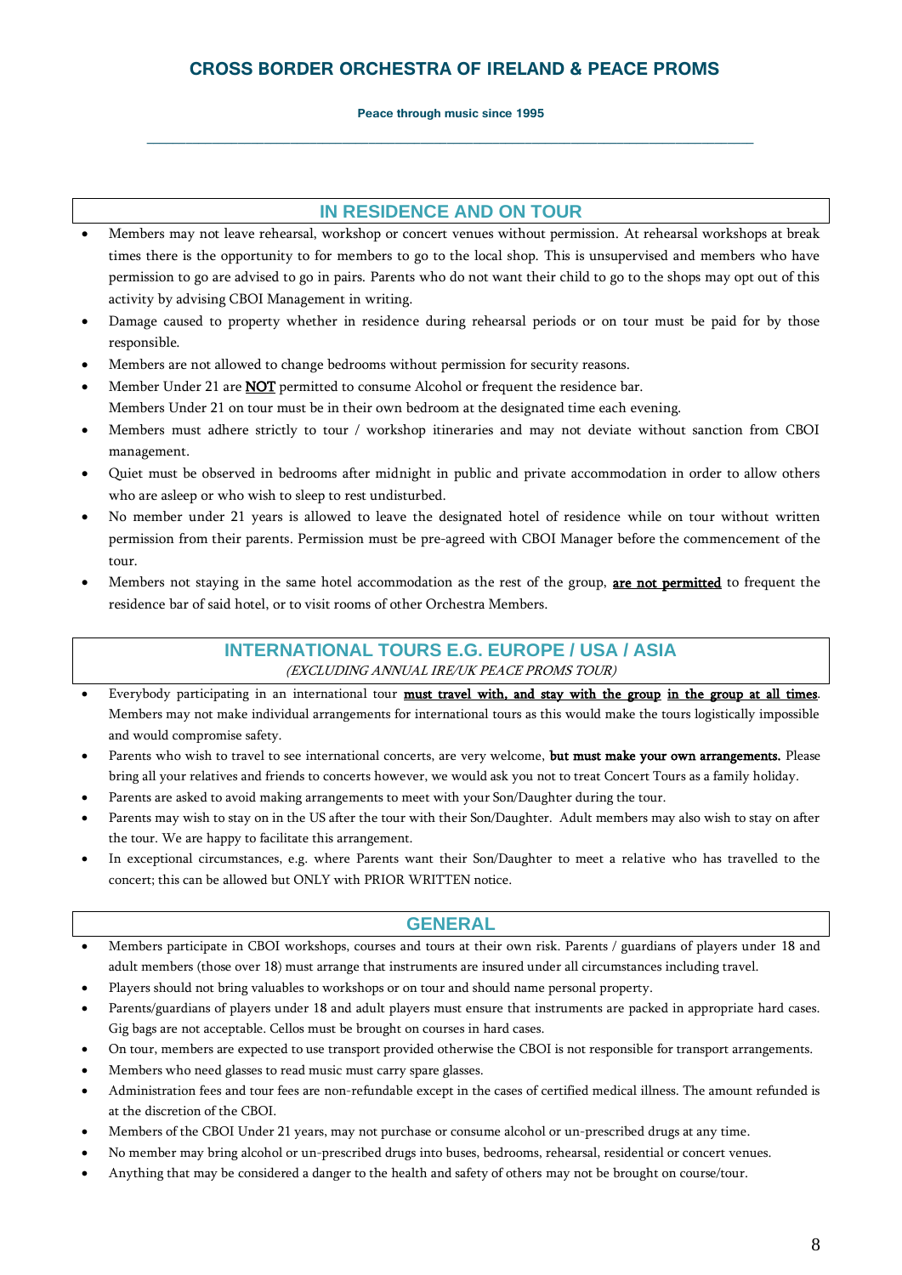## **Peace through music since 1995 \_\_\_\_\_\_\_\_\_\_\_\_\_\_\_\_\_\_\_\_\_\_\_\_\_\_\_\_\_\_\_\_\_\_\_\_\_\_\_\_\_\_\_\_\_\_\_\_\_\_\_\_\_\_\_\_\_\_\_\_\_\_\_\_\_\_\_\_\_\_\_\_\_\_\_\_\_\_\_\_\_\_\_\_\_\_\_\_\_\_\_\_\_**

#### **IN RESIDENCE AND ON TOUR**

- <span id="page-7-0"></span>• Members may not leave rehearsal, workshop or concert venues without permission. At rehearsal workshops at break times there is the opportunity to for members to go to the local shop. This is unsupervised and members who have permission to go are advised to go in pairs. Parents who do not want their child to go to the shops may opt out of this activity by advising CBOI Management in writing.
- Damage caused to property whether in residence during rehearsal periods or on tour must be paid for by those responsible.
- Members are not allowed to change bedrooms without permission for security reasons.
- Member Under 21 are **NOT** permitted to consume Alcohol or frequent the residence bar. Members Under 21 on tour must be in their own bedroom at the designated time each evening.
- Members must adhere strictly to tour / workshop itineraries and may not deviate without sanction from CBOI management.
- Quiet must be observed in bedrooms after midnight in public and private accommodation in order to allow others who are asleep or who wish to sleep to rest undisturbed.
- No member under 21 years is allowed to leave the designated hotel of residence while on tour without written permission from their parents. Permission must be pre-agreed with CBOI Manager before the commencement of the tour.
- Members not staying in the same hotel accommodation as the rest of the group, are not permitted to frequent the residence bar of said hotel, or to visit rooms of other Orchestra Members.

#### **INTERNATIONAL TOURS E.G. EUROPE / USA / ASIA** (EXCLUDING ANNUAL IRE/UK PEACE PROMS TOUR)

- <span id="page-7-1"></span>Everybody participating in an international tour **must travel with, and stay with the group in the group at all times**.
- Members may not make individual arrangements for international tours as this would make the tours logistically impossible and would compromise safety.
- Parents who wish to travel to see international concerts, are very welcome, but must make your own arrangements. Please bring all your relatives and friends to concerts however, we would ask you not to treat Concert Tours as a family holiday.
- Parents are asked to avoid making arrangements to meet with your Son/Daughter during the tour.
- Parents may wish to stay on in the US after the tour with their Son/Daughter. Adult members may also wish to stay on after the tour. We are happy to facilitate this arrangement.
- In exceptional circumstances, e.g. where Parents want their Son/Daughter to meet a relative who has travelled to the concert; this can be allowed but ONLY with PRIOR WRITTEN notice.

#### **GENERAL**

- <span id="page-7-2"></span>• Members participate in CBOI workshops, courses and tours at their own risk. Parents / guardians of players under 18 and adult members (those over 18) must arrange that instruments are insured under all circumstances including travel.
- Players should not bring valuables to workshops or on tour and should name personal property.
- Parents/guardians of players under 18 and adult players must ensure that instruments are packed in appropriate hard cases. Gig bags are not acceptable. Cellos must be brought on courses in hard cases.
- On tour, members are expected to use transport provided otherwise the CBOI is not responsible for transport arrangements.
- Members who need glasses to read music must carry spare glasses.
- Administration fees and tour fees are non-refundable except in the cases of certified medical illness. The amount refunded is at the discretion of the CBOI.
- Members of the CBOI Under 21 years, may not purchase or consume alcohol or un-prescribed drugs at any time.
- No member may bring alcohol or un-prescribed drugs into buses, bedrooms, rehearsal, residential or concert venues.
- Anything that may be considered a danger to the health and safety of others may not be brought on course/tour.